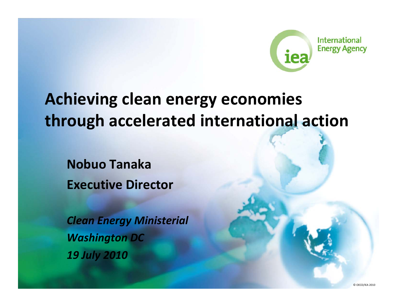

## **A hi i c ev ng clean energy economies through accelerated international action**

**Nobuo Tanaka Executive Director**

*Clean Energy Ministerial Washington DC 19 July 2010*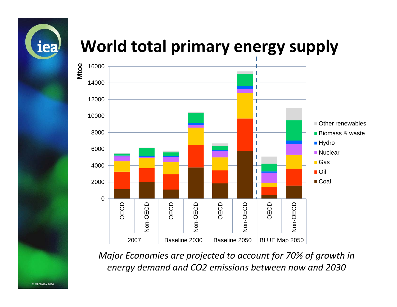

## **World total primary energy supply**



*Major Economies are projected to account for 70% of growth in energy demand and CO2 emissions between now and 2030*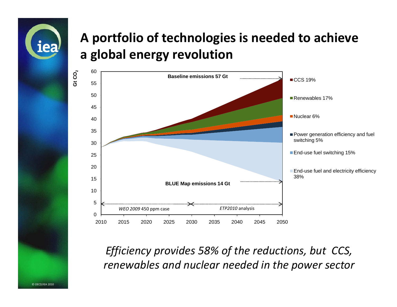

### **A portfolio of technologies is needed to achieve a global energy revolution**



*Efficiency provides 58% of the reductions but CCS reductions, CCS, renewables and nuclear needed in the power sector*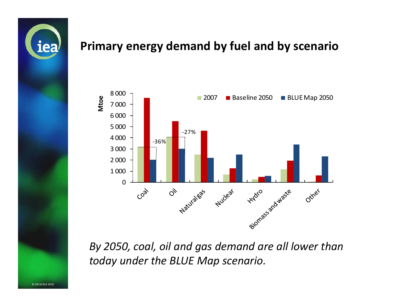

#### **Primary energy demand by fuel and by scenario**



*By 2050, coal, oil and gas demand are all lower than today under the BLUE Map scenario.*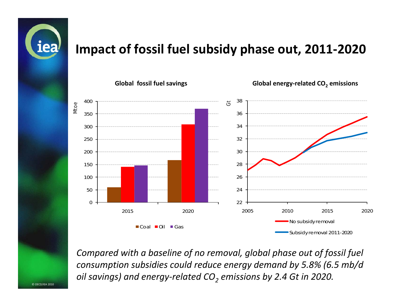

#### **Impact of fossil fuel subsidy phase out, 2011‐2020**



Compared with a baseline of no removal, global phase out of fossil fuel consumption subsidies could reduce energy demand by 5.8% (6.5 mb/d *oil savings) and energy‐related CO2 emissions by 2.4 Gt in 2020.*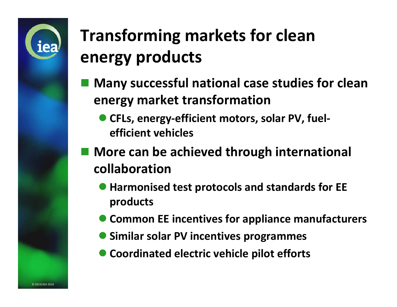

# **Transforming markets for clean energy products**

- **Many successful national case studies for clean energy** market transformation
	- $\bullet$  **CFLs, energy‐efficient motors, solar PV, fuel‐ efficient vehicles**
- **More can be achieved through international collaboration**
	- **Harmonised test protocols and standards for EE products**
	- **Common EE incentives for appliance manufacturers**
	- **Similar solar PV incentives programmes**
	- $\bullet$  $\bullet$  **Coordinated electric vehicle pilot efforts**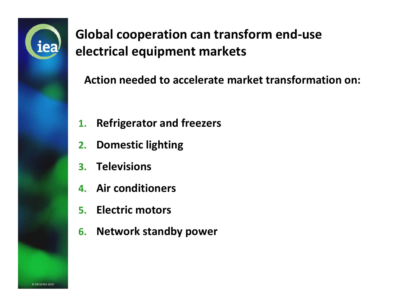

**Global cooperation can transform end‐use electrical equipment markets** 

**Action needed to accelerate market transformation on:**

- **1. Refrigerator and freezers**
- **2. Domestic lighting**
- **3. Televisions**
- **4. Air conditioners**
- **5. Electric motors**
- **6. Network standby power**

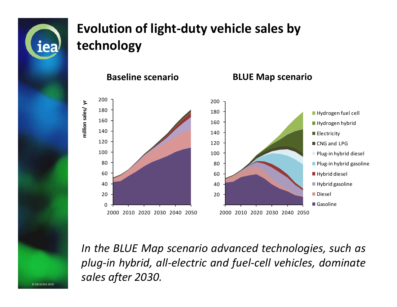

© OECD/IEA 2010

### **Evolution of light‐duty vehicle sales by technology**



*In the BLUE Map scenario advanced technologies such as technologies, plug‐in hybrid, all‐electric and fuel‐cell vehicles, dominate sales after 2030.*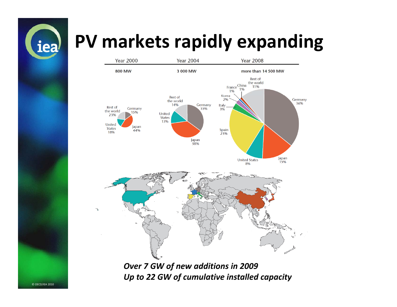

# **PV markets rapidly expanding**



*Over 7 GW of new additions in 2009 Up to 22 GW of cumulative installed capacity*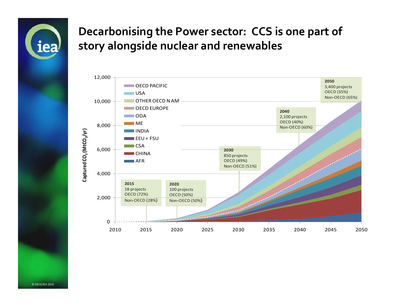

#### **Decarbonising the Power sector: CCS is one par<sup>t</sup> of story alongside nuclear and renewables**

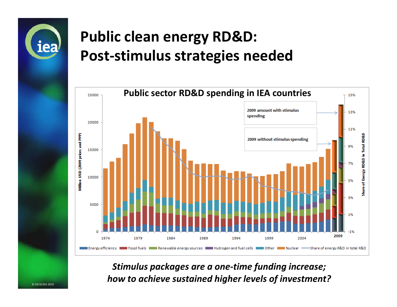

© OECD/IEA 2010

## **Public clean energy RD&D: Post‐stimulus strategies needed**



*Stimulus packages are <sup>a</sup> one‐time funding increase; how to achieve sustained higher levels of investment?*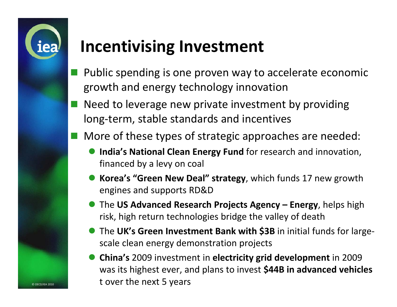

© OECD/IEA 2010

## **Incentivising Investment**

- Public spending is one proven way to accelerate economic growth and energy technology innovation
- Need to leverage new private investment by providing long‐term, stable standards and incentives
- More of these types of strategic approaches are needed:
	- $\bullet$  **India's National Clean Energy Fund** for research and innovation, financed by <sup>a</sup> levy on coal
	- **Korea's "Green New Deal" strategy**, which funds 17 new growth engines and supports RD&D
	- The **US Advanced Research Projects Agency – Energy**, helps high risk, high return technologies bridge the valley of death
	- The **UK's Green Investment Bank with \$3B** in initial funds for large‐ scale clean energy demonstration projects
	- $\bullet$  **China's** 2009 investment in **electricity grid development** in 2009 was its highest ever, and plans to invest **\$44B in advanced vehicles** t over the next 5 years